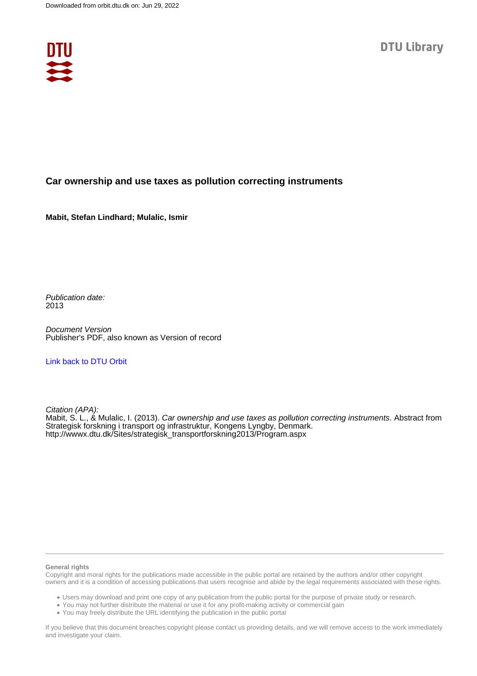

## **Car ownership and use taxes as pollution correcting instruments**

**Mabit, Stefan Lindhard; Mulalic, Ismir**

Publication date: 2013

Document Version Publisher's PDF, also known as Version of record

### [Link back to DTU Orbit](https://orbit.dtu.dk/en/publications/b8893fe7-172a-4da5-8708-85e27529e279)

Citation (APA):

Mabit, S. L., & Mulalic, I. (2013). Car ownership and use taxes as pollution correcting instruments. Abstract from Strategisk forskning i transport og infrastruktur, Kongens Lyngby, Denmark. [http://wwwx.dtu.dk/Sites/strategisk\\_transportforskning2013/Program.aspx](http://wwwx.dtu.dk/Sites/strategisk_transportforskning2013/Program.aspx)

#### **General rights**

Copyright and moral rights for the publications made accessible in the public portal are retained by the authors and/or other copyright owners and it is a condition of accessing publications that users recognise and abide by the legal requirements associated with these rights.

Users may download and print one copy of any publication from the public portal for the purpose of private study or research.

- You may not further distribute the material or use it for any profit-making activity or commercial gain
- You may freely distribute the URL identifying the publication in the public portal

If you believe that this document breaches copyright please contact us providing details, and we will remove access to the work immediately and investigate your claim.